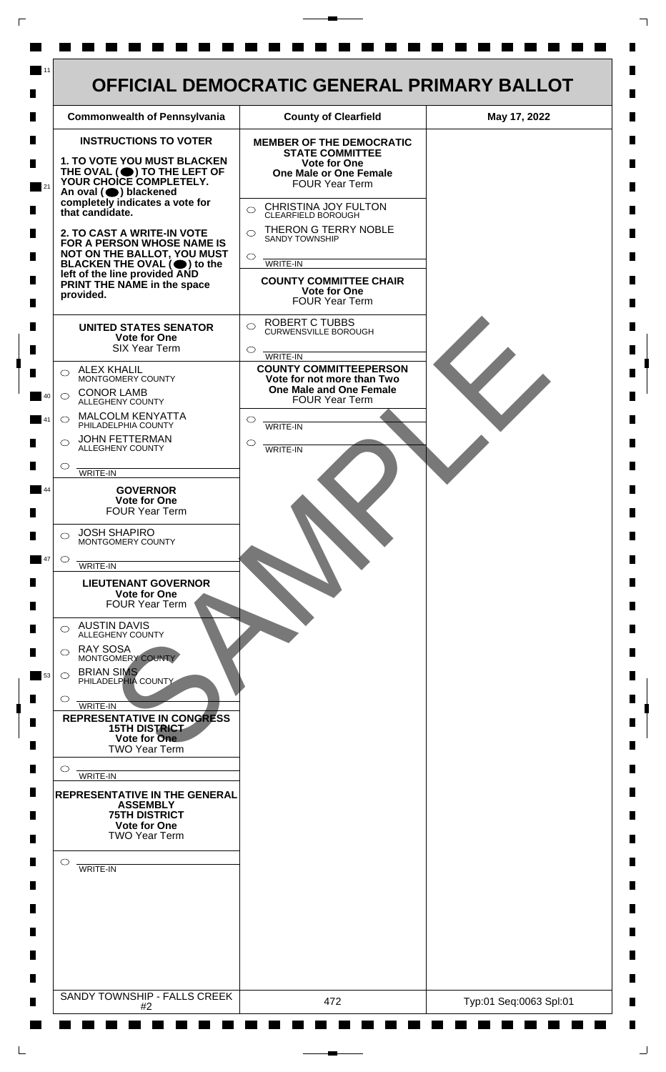

 $\mathsf{L}$ 

 $\Box$